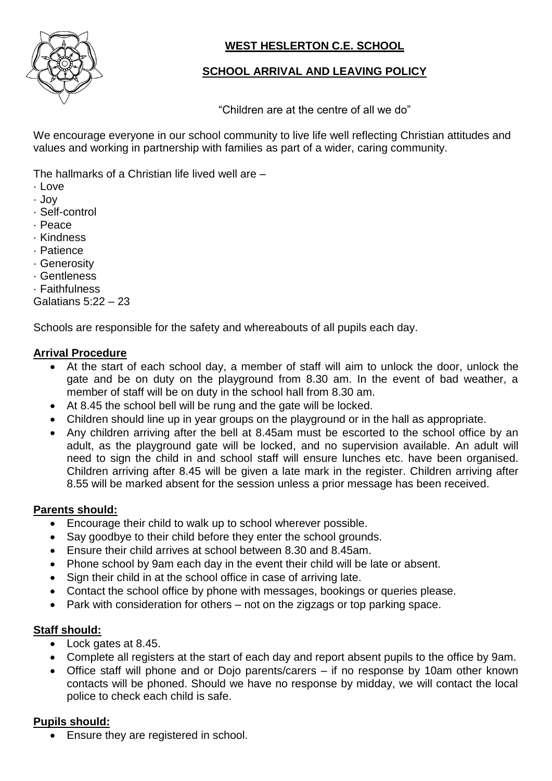

# **WEST HESLERTON C.E. SCHOOL**

# **SCHOOL ARRIVAL AND LEAVING POLICY**

"Children are at the centre of all we do"

We encourage everyone in our school community to live life well reflecting Christian attitudes and values and working in partnership with families as part of a wider, caring community.

The hallmarks of a Christian life lived well are –

- · Love
- · Joy
- · Self-control
- · Peace
- · Kindness
- · Patience
- · Generosity
- · Gentleness
- · Faithfulness

Galatians 5:22 – 23

Schools are responsible for the safety and whereabouts of all pupils each day.

#### **Arrival Procedure**

- At the start of each school day, a member of staff will aim to unlock the door, unlock the gate and be on duty on the playground from 8.30 am. In the event of bad weather, a member of staff will be on duty in the school hall from 8.30 am.
- At 8.45 the school bell will be rung and the gate will be locked.
- Children should line up in year groups on the playground or in the hall as appropriate.
- Any children arriving after the bell at 8.45am must be escorted to the school office by an adult, as the playground gate will be locked, and no supervision available. An adult will need to sign the child in and school staff will ensure lunches etc. have been organised. Children arriving after 8.45 will be given a late mark in the register. Children arriving after 8.55 will be marked absent for the session unless a prior message has been received.

#### **Parents should:**

- Encourage their child to walk up to school wherever possible.
- Say goodbye to their child before they enter the school grounds.
- Ensure their child arrives at school between 8.30 and 8.45am.
- Phone school by 9am each day in the event their child will be late or absent.
- Sign their child in at the school office in case of arriving late.
- Contact the school office by phone with messages, bookings or queries please.
- Park with consideration for others not on the zigzags or top parking space.

### **Staff should:**

- Lock gates at 8.45.
- Complete all registers at the start of each day and report absent pupils to the office by 9am.
- Office staff will phone and or Dojo parents/carers if no response by 10am other known contacts will be phoned. Should we have no response by midday, we will contact the local police to check each child is safe.

### **Pupils should:**

• Ensure they are registered in school.